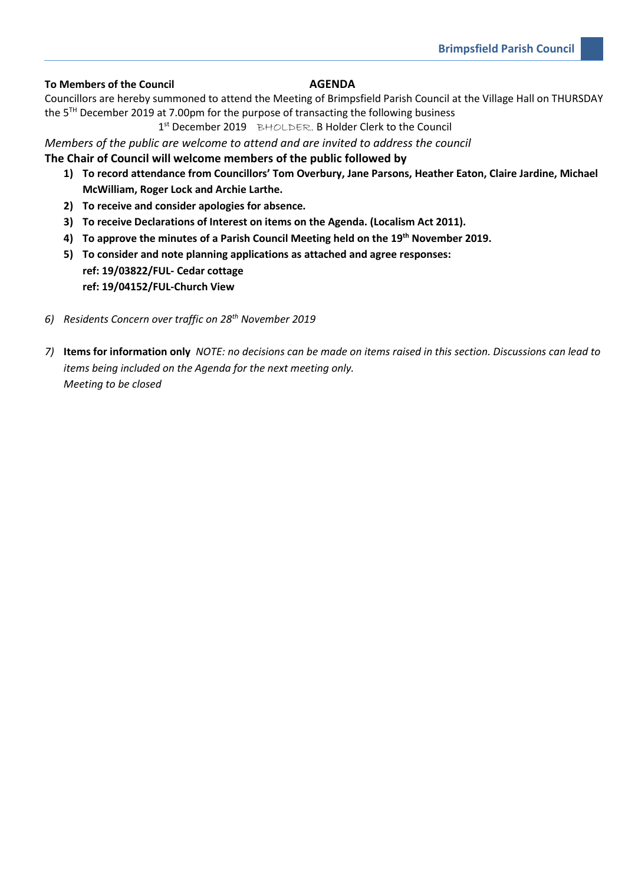## **To Members of the Council AGENDA**

Councillors are hereby summoned to attend the Meeting of Brimpsfield Parish Council at the Village Hall on THURSDAY the 5 TH December 2019 at 7.00pm for the purpose of transacting the following business

1<sup>st</sup> December 2019 BHOLDER. B Holder Clerk to the Council

*Members of the public are welcome to attend and are invited to address the council* 

# **The Chair of Council will welcome members of the public followed by**

- **1) To record attendance from Councillors' Tom Overbury, Jane Parsons, Heather Eaton, Claire Jardine, Michael McWilliam, Roger Lock and Archie Larthe.**
- **2) To receive and consider apologies for absence.**
- **3) To receive Declarations of Interest on items on the Agenda. (Localism Act 2011).**
- **4) To approve the minutes of a Parish Council Meeting held on the 19th November 2019.**
- **5) To consider and note planning applications as attached and agree responses: ref: 19/03822/FUL- Cedar cottage ref: 19/04152/FUL-Church View**
- *6) Residents Concern over traffic on 28th November 2019*
- *7)* **Items for information only** *NOTE: no decisions can be made on items raised in this section. Discussions can lead to items being included on the Agenda for the next meeting only. Meeting to be closed*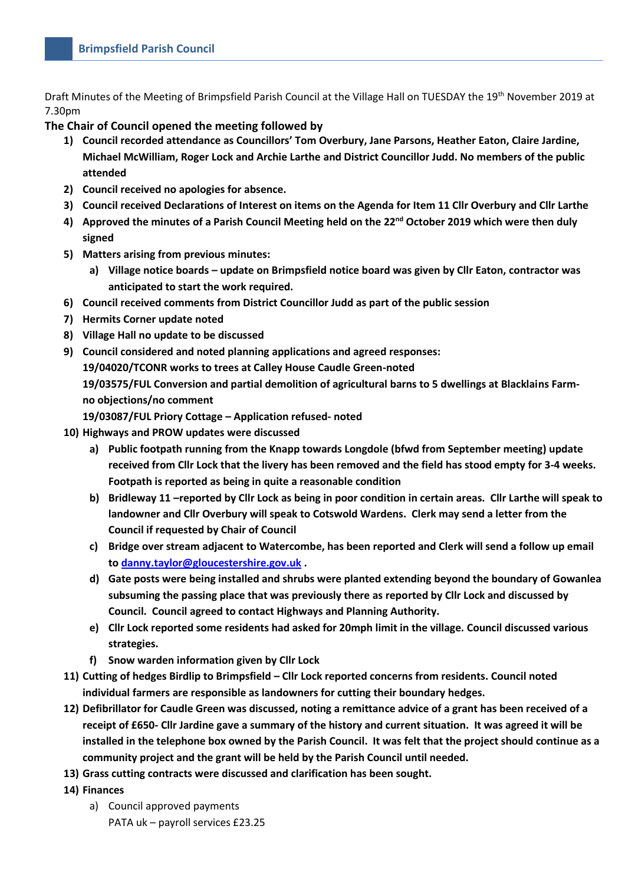Draft Minutes of the Meeting of Brimpsfield Parish Council at the Village Hall on TUESDAY the 19th November 2019 at 7.30pm

# **The Chair of Council opened the meeting followed by**

- **1) Council recorded attendance as Councillors' Tom Overbury, Jane Parsons, Heather Eaton, Claire Jardine, Michael McWilliam, Roger Lock and Archie Larthe and District Councillor Judd. No members of the public attended**
- **2) Council received no apologies for absence.**
- **3) Council received Declarations of Interest on items on the Agenda for Item 11 Cllr Overbury and Cllr Larthe**
- **4) Approved the minutes of a Parish Council Meeting held on the 22nd October 2019 which were then duly signed**
- **5) Matters arising from previous minutes:**
	- **a) Village notice boards – update on Brimpsfield notice board was given by Cllr Eaton, contractor was anticipated to start the work required.**
- **6) Council received comments from District Councillor Judd as part of the public session**
- **7) Hermits Corner update noted**
- **8) Village Hall no update to be discussed**
- **9) Council considered and noted planning applications and agreed responses:**

**19/04020/TCONR works to trees at Calley House Caudle Green-noted**

**19/03575/FUL Conversion and partial demolition of agricultural barns to 5 dwellings at Blacklains Farmno objections/no comment**

**19/03087/FUL Priory Cottage – Application refused- noted**

- **10) Highways and PROW updates were discussed** 
	- **a) Public footpath running from the Knapp towards Longdole (bfwd from September meeting) update received from Cllr Lock that the livery has been removed and the field has stood empty for 3-4 weeks. Footpath is reported as being in quite a reasonable condition**
	- **b) Bridleway 11 –reported by Cllr Lock as being in poor condition in certain areas. Cllr Larthe will speak to landowner and Cllr Overbury will speak to Cotswold Wardens. Clerk may send a letter from the Council if requested by Chair of Council**
	- **c) Bridge over stream adjacent to Watercombe, has been reported and Clerk will send a follow up email to [danny.taylor@gloucestershire.gov.uk](mailto:danny.taylor@gloucestershire.gov.uk) .**
	- **d) Gate posts were being installed and shrubs were planted extending beyond the boundary of Gowanlea subsuming the passing place that was previously there as reported by Cllr Lock and discussed by Council. Council agreed to contact Highways and Planning Authority.**
	- **e) Cllr Lock reported some residents had asked for 20mph limit in the village. Council discussed various strategies.**
	- **f) Snow warden information given by Cllr Lock**
- **11) Cutting of hedges Birdlip to Brimpsfield – Cllr Lock reported concerns from residents. Council noted individual farmers are responsible as landowners for cutting their boundary hedges.**
- **12) Defibrillator for Caudle Green was discussed, noting a remittance advice of a grant has been received of a receipt of £650- Cllr Jardine gave a summary of the history and current situation. It was agreed it will be installed in the telephone box owned by the Parish Council. It was felt that the project should continue as a community project and the grant will be held by the Parish Council until needed.**
- **13) Grass cutting contracts were discussed and clarification has been sought.**
- **14) Finances**
	- a) Council approved payments PATA uk – payroll services £23.25